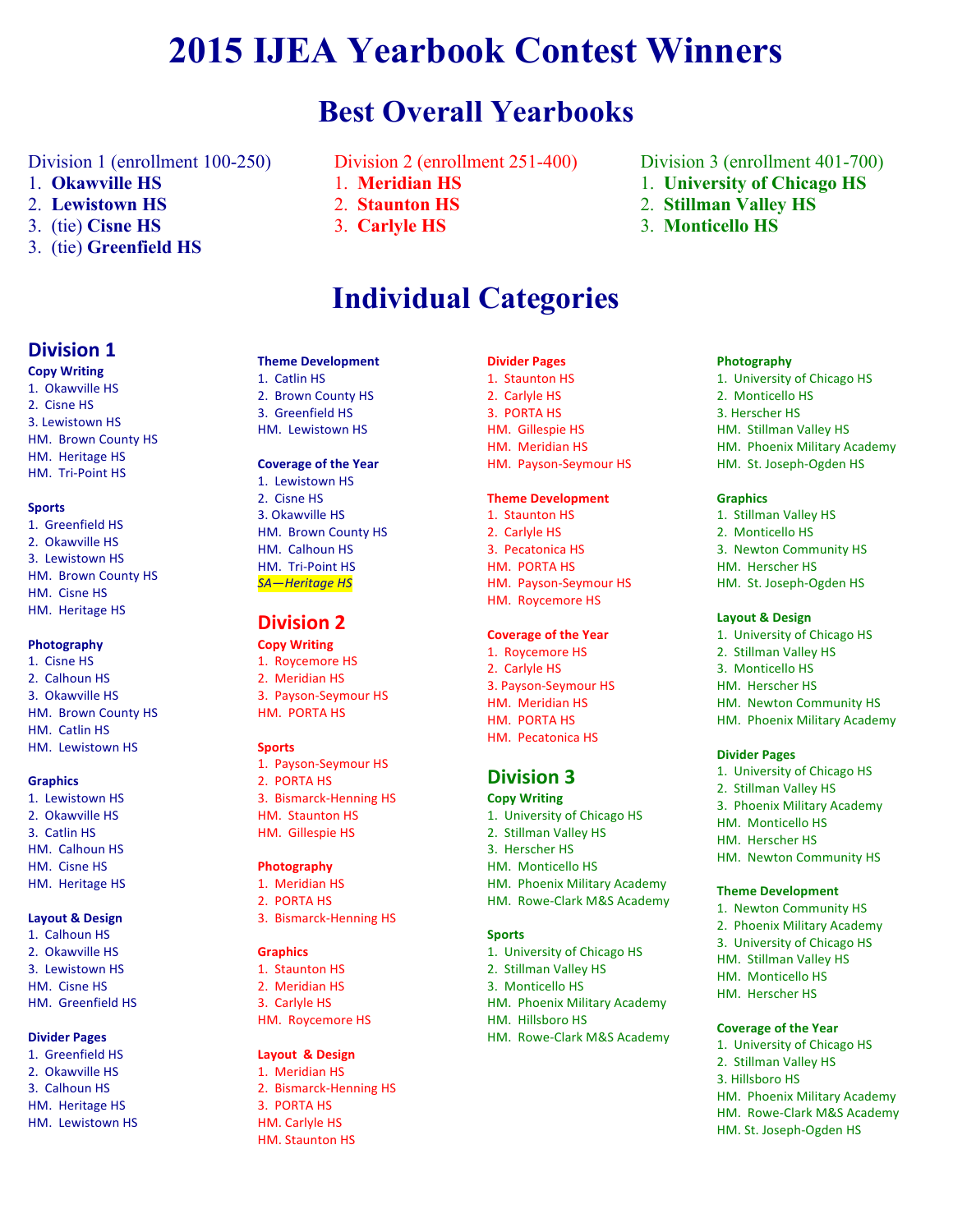# **2015 IJEA Yearbook Contest Winners**

## **Best Overall Yearbooks**

Division 1 (enrollment 100-250)

- 1. **Okawville HS**
- 2. **Lewistown HS**
- 3. (tie) **Cisne HS**
- 3. (tie) **Greenfield HS**
- Division 2 (enrollment 251-400)
- 1. **Meridian HS**
- 2. **Staunton HS**
- 3. **Carlyle HS**

# **Individual Categories**

## **Division 1**

#### **Copy Writing**

1. Okawville HS 2. Cisne HS 3. Lewistown HS HM. Brown County HS HM. Heritage HS HM. Tri-Point HS

#### **Sports**

1. Greenfield HS 2. Okawville HS 3. Lewistown HS HM. Brown County HS HM. Cisne HS HM. Heritage HS

#### **Photography**

1. Cisne HS 2. Calhoun HS 3. Okawville HS HM. Brown County HS HM Catlin HS HM. Lewistown HS

#### **Graphics**

1. Lewistown HS 2. Okawville HS 3. Catlin HS HM. Calhoun HS HM. Cisne HS HM. Heritage HS

#### **Layout & Design**

1. Calhoun HS 2. Okawville HS 3. Lewistown HS HM Cisne HS HM. Greenfield HS

#### **Divider Pages**

1. Greenfield HS 2. Okawville HS 3. Calhoun HS HM. Heritage HS HM. Lewistown HS

#### **Theme Development**

1. Catlin HS 2. Brown County HS 3. Greenfield HS HM. Lewistown HS

## **Coverage of the Year**

1. Lewistown HS 2. Cisne HS 3. Okawville HS HM. Brown County HS HM. Calhoun HS HM. Tri-Point HS **SA**—Heritage HS

## **Division 2**

**Copy Writing** 1. Rovcemore HS 2. Meridian HS 3. Payson-Seymour HS HM. PORTA HS

#### **Sports**

1. Payson-Seymour HS 2. PORTA HS 3. Bismarck-Henning HS HM. Staunton HS HM. Gillespie HS

#### **Photography**

- 1. Meridian HS
- 2. PORTA HS
- 3. Bismarck-Henning HS

#### **Graphics**

1. Staunton HS 2. Meridian HS 3. Carlyle HS HM. Roycemore HS

#### **Layout & Design**

1. Meridian HS 2. Bismarck-Henning HS 3. PORTA HS HM. Carlyle HS HM. Staunton HS

#### **Divider Pages**

1. Staunton HS 2. Carlyle HS 3. PORTA HS HM. Gillespie HS HM. Meridian HS HM. Payson-Seymour HS

#### **Theme Development**

1. Staunton HS 2. Carlyle HS 3. Pecatonica HS HM. PORTA HS HM. Payson-Seymour HS HM. Roycemore HS

#### **Coverage of the Year**

1. Roycemore HS 2. Carlyle HS 3. Payson-Seymour HS HM. Meridian HS HM. PORTA HS HM. Pecatonica HS

## **Division 3**

**Copy Writing** 1. University of Chicago HS 2. Stillman Valley HS 3. Herscher HS HM. Monticello HS HM. Phoenix Military Academy HM. Rowe-Clark M&S Academy

#### **Sports**

- 1. University of Chicago HS
- 2. Stillman Valley HS 3. Monticello HS
- HM. Phoenix Military Academy
- HM. Hillsboro HS
- HM. Rowe-Clark M&S Academy

## Division 3 (enrollment 401-700)

- 1. **University of Chicago HS**
- 2. **Stillman Valley HS**
- 3. **Monticello HS**

#### **Photography**

1. University of Chicago HS 2. Monticello HS 3. Herscher HS HM. Stillman Valley HS HM. Phoenix Military Academy HM. St. Joseph-Ogden HS

#### **Graphics**

1. Stillman Valley HS 2. Monticello HS 3. Newton Community HS HM. Herscher HS HM. St. Joseph-Ogden HS

#### **Layout & Design**

1. University of Chicago HS 2. Stillman Valley HS 3. Monticello HS HM. Herscher HS HM. Newton Community HS HM. Phoenix Military Academy

#### **Divider Pages**

1. University of Chicago HS 2. Stillman Valley HS 3. Phoenix Military Academy HM. Monticello HS HM. Herscher HS HM. Newton Community HS

#### **Theme Development**

1. Newton Community HS 2. Phoenix Military Academy 3. University of Chicago HS HM. Stillman Valley HS HM. Monticello HS HM. Herscher HS

## **Coverage of the Year**

- 1. University of Chicago HS 2. Stillman Valley HS 3. Hillsboro HS
- HM. Phoenix Military Academy HM. Rowe-Clark M&S Academy HM. St. Joseph-Ogden HS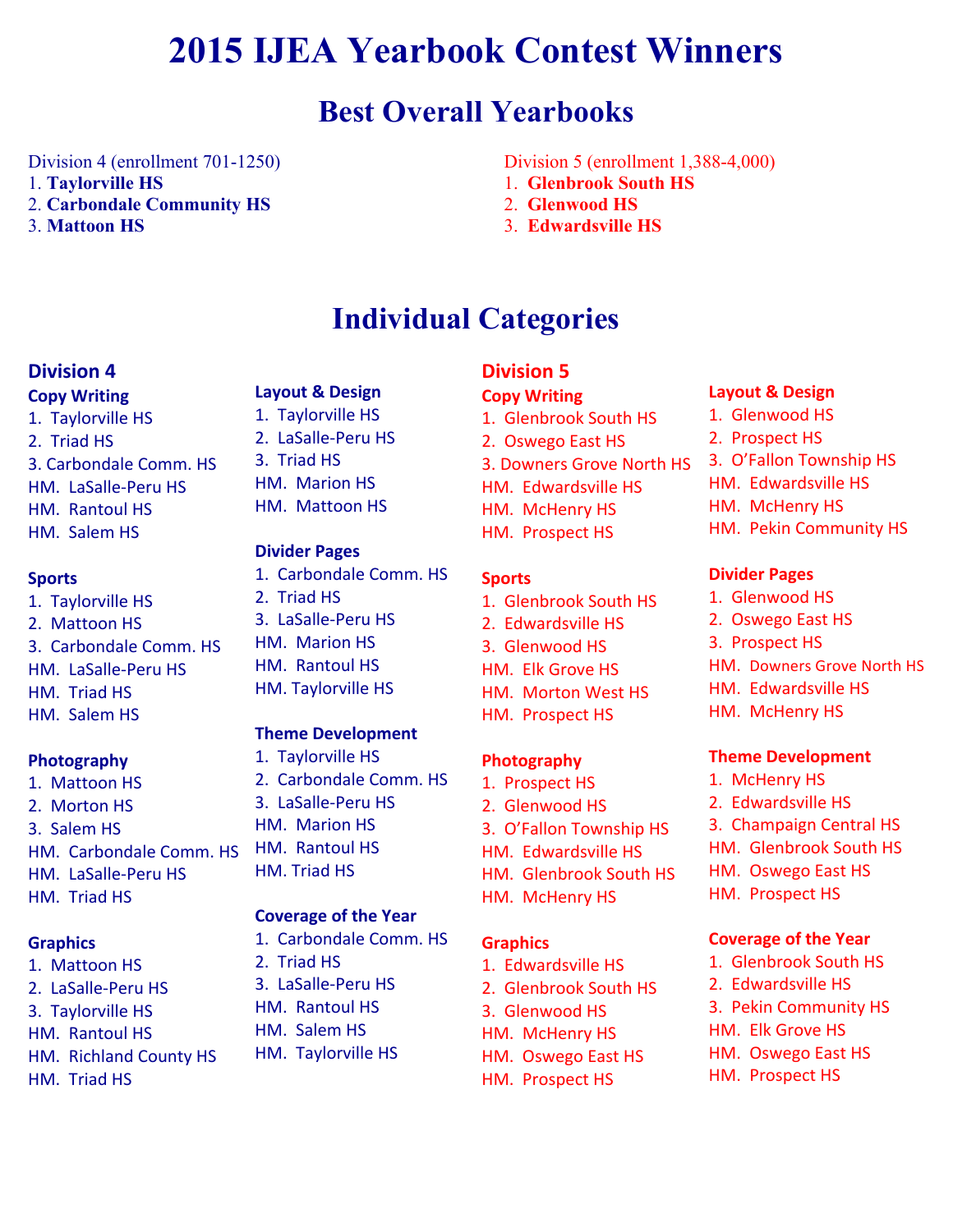# **2015 IJEA Yearbook Contest Winners**

# **Best Overall Yearbooks**

Division 4 (enrollment 701-1250) 1. **Taylorville HS** 2. **Carbondale Community HS**

3. **Mattoon HS**

Division 5 (enrollment 1,388-4,000)

- 1. **Glenbrook South HS**
- 2. **Glenwood HS**

1. Glenbrook South HS 2. Oswego East HS

HM. Edwardsville HS HM. McHenry HS HM. Prospect HS

3. Downers Grove North HS

3. **Edwardsville HS**

# **Individual Categories**

## **Division 4**

**Copy Writing** 1. Taylorville HS 2. Triad HS 3. Carbondale Comm. HS HM. LaSalle-Peru HS HM. Rantoul HS HM. Salem HS

## **Sports**

1. Taylorville HS 2. Mattoon HS 3. Carbondale Comm. HS HM. LaSalle-Peru HS HM. Triad HS HM. Salem HS

## **Photography**

1. Mattoon HS 2. Morton HS 3. Salem HS HM. Carbondale Comm. HS HM. LaSalle-Peru HS HM. Triad HS

## **Graphics**

1. Mattoon HS 2. LaSalle-Peru HS 3. Taylorville HS HM. Rantoul HS HM. Richland County HS HM. Triad HS

## **Layout & Design**

1. Taylorville HS 2. LaSalle-Peru HS 3. Triad HS HM. Marion HS HM. Mattoon HS

## **Divider Pages**

1. Carbondale Comm. HS 2. Triad HS 3. LaSalle-Peru HS HM. Marion HS HM. Rantoul HS HM. Taylorville HS

## **Theme Development**

1. Taylorville HS 2. Carbondale Comm. HS 3. LaSalle-Peru HS HM. Marion HS HM. Rantoul HS HM. Triad HS

## **Coverage of the Year**

- 1. Carbondale Comm. HS
- 2. Triad HS
- 3. LaSalle-Peru HS
- HM. Rantoul HS
- HM. Salem HS
- HM. Taylorville HS

## 1. Glenbrook South HS 2. Edwardsville HS

**Sports** 

**Division 5 Copy Writing**

- 3. Glenwood HS HM. Elk Grove HS **HM.** Morton West HS
- HM. Prospect HS

## **Photography**

1. Prospect HS 2. Glenwood HS 3. O'Fallon Township HS HM. Edwardsville HS HM. Glenbrook South HS **HM. McHenry HS** 

## **Graphics**

- 1. Edwardsville HS 2. Glenbrook South HS
- 3. Glenwood HS
- HM. McHenry HS
- HM. Oswego East HS
- HM. Prospect HS

## **Layout & Design**

1. Glenwood HS 2. Prospect HS 3. O'Fallon Township HS HM. Edwardsville HS HM. McHenry HS HM. Pekin Community HS

## **Divider Pages**

1. Glenwood HS 2. Oswego East HS 3. Prospect HS HM. Downers Grove North HS HM. Edwardsville HS HM. McHenry HS

## **Theme Development**

1. McHenry HS 2. Edwardsville HS 3. Champaign Central HS HM. Glenbrook South HS HM. Oswego East HS HM. Prospect HS

## **Coverage of the Year**

- 1. Glenbrook South HS
- 2. Edwardsville HS
- 3. Pekin Community HS
- HM. Elk Grove HS
- HM. Oswego East HS
- HM. Prospect HS